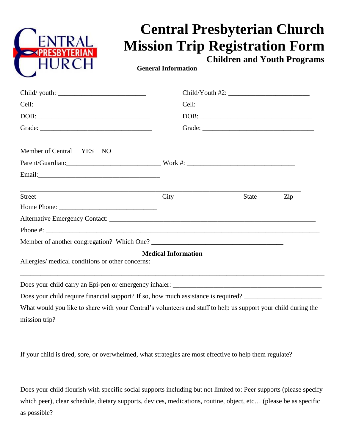

## **Central Presbyterian Church Mission Trip Registration Form**

**Children and Youth Programs**

 **General Information**

|                                                                                                                | $DOB: \begin{tabular}{ c c c } \hline \multicolumn{3}{ c }{\textbf{DOB}}: & \multicolumn{3}{ c }{\textbf{O}}: & \multicolumn{3}{ c }{\textbf{OOB}}: \\ \hline \multicolumn{3}{ c }{\textbf{OOB}}: & \multicolumn{3}{ c }{\textbf{O}}: & \multicolumn{3}{ c }{\textbf{O}}: & \multicolumn{3}{ c }{\textbf{OOB}}: & \multicolumn{3}{ c }{\textbf{OOB}}: & \multicolumn{3}{ c }{\textbf{OOB}}: & \multicolumn{3}{ c }{\textbf{OOB}}: &$ |       |     |
|----------------------------------------------------------------------------------------------------------------|--------------------------------------------------------------------------------------------------------------------------------------------------------------------------------------------------------------------------------------------------------------------------------------------------------------------------------------------------------------------------------------------------------------------------------------|-------|-----|
|                                                                                                                | Grade:                                                                                                                                                                                                                                                                                                                                                                                                                               |       |     |
| Member of Central YES NO                                                                                       |                                                                                                                                                                                                                                                                                                                                                                                                                                      |       |     |
|                                                                                                                |                                                                                                                                                                                                                                                                                                                                                                                                                                      |       |     |
|                                                                                                                |                                                                                                                                                                                                                                                                                                                                                                                                                                      |       |     |
| <b>Street</b>                                                                                                  | City                                                                                                                                                                                                                                                                                                                                                                                                                                 | State | Zip |
|                                                                                                                |                                                                                                                                                                                                                                                                                                                                                                                                                                      |       |     |
|                                                                                                                |                                                                                                                                                                                                                                                                                                                                                                                                                                      |       |     |
|                                                                                                                |                                                                                                                                                                                                                                                                                                                                                                                                                                      |       |     |
|                                                                                                                |                                                                                                                                                                                                                                                                                                                                                                                                                                      |       |     |
|                                                                                                                | <b>Medical Information</b>                                                                                                                                                                                                                                                                                                                                                                                                           |       |     |
|                                                                                                                |                                                                                                                                                                                                                                                                                                                                                                                                                                      |       |     |
| Does your child require financial support? If so, how much assistance is required?                             |                                                                                                                                                                                                                                                                                                                                                                                                                                      |       |     |
| What would you like to share with your Central's volunteers and staff to help us support your child during the |                                                                                                                                                                                                                                                                                                                                                                                                                                      |       |     |

What would you like to share with your Central's volunteers and staff to help us support your child during the mission trip?

If your child is tired, sore, or overwhelmed, what strategies are most effective to help them regulate?

Does your child flourish with specific social supports including but not limited to: Peer supports (please specify which peer), clear schedule, dietary supports, devices, medications, routine, object, etc… (please be as specific as possible?